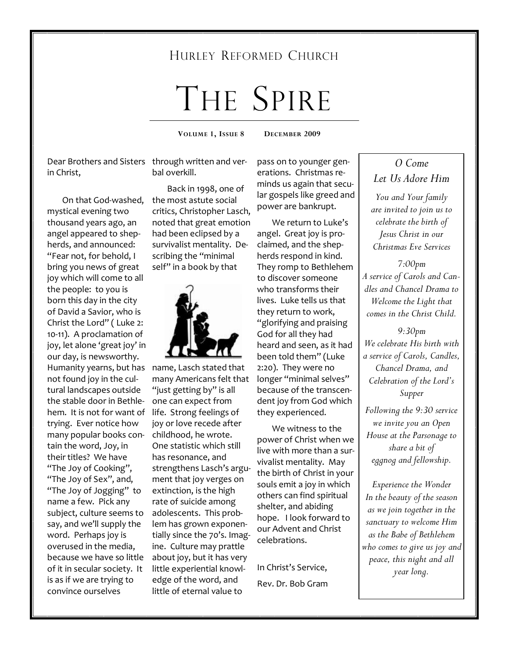# HURLEY REFORMED CHURCH

# THE SPIRE

**VOLUME 1, ISSUE 8 DECEMBER 2009** 

Dear Brothers and Sisters through written and verin Christ,

 On that God-washed, mystical evening two thousand years ago, an angel appeared to shepherds, and announced: "Fear not, for behold, I bring you news of great joy which will come to all the people: to you is born this day in the city of David a Savior, who is Christ the Lord" ( Luke 2: 10-11). A proclamation of joy, let alone 'great joy' in our day, is newsworthy. Humanity yearns, but has name, Lasch stated that not found joy in the cultural landscapes outside the stable door in Bethlehem. It is not for want of trying. Ever notice how many popular books contain the word, Joy, in their titles? We have "The Joy of Cooking", "The Joy of Sex", and, "The Joy of Jogging" to name a few. Pick any subject, culture seems to say, and we'll supply the word. Perhaps joy is overused in the media, because we have so little of it in secular society. It is as if we are trying to convince ourselves

bal overkill.

 Back in 1998, one of the most astute social critics, Christopher Lasch, noted that great emotion had been eclipsed by a survivalist mentality. Describing the "minimal self" in a book by that



many Americans felt that "just getting by" is all one can expect from life. Strong feelings of joy or love recede after childhood, he wrote. One statistic which still has resonance, and strengthens Lasch's argument that joy verges on extinction, is the high rate of suicide among adolescents. This problem has grown exponentially since the 70's. Imagine. Culture may prattle about joy, but it has very little experiential knowledge of the word, and little of eternal value to

pass on to younger generations. Christmas reminds us again that secular gospels like greed and power are bankrupt.

 We return to Luke's angel. Great joy is proclaimed, and the shepherds respond in kind. They romp to Bethlehem to discover someone who transforms their lives. Luke tells us that they return to work, "glorifying and praising God for all they had heard and seen, as it had been told them" (Luke 2:20). They were no longer "minimal selves" because of the transcendent joy from God which they experienced.

 We witness to the power of Christ when we live with more than a survivalist mentality. May the birth of Christ in your souls emit a joy in which others can find spiritual shelter, and abiding hope. I look forward to our Advent and Christ celebrations.

In Christ's Service, Rev. Dr. Bob Gram

# *O Come Let Us Adore Him*

*You and Your family are invited to join us to celebrate the birth of Jesus Christ in our Christmas Eve Services* 

*7:00pm A service of Carols and Candles and Chancel Drama to Welcome the Light that comes in the Christ Child.* 

*9:30pm We celebrate His birth with a service of Carols, Candles, Chancel Drama, and Celebration of the Lord's Supper* 

*Following the 9:30 service we invite you an Open House at the Parsonage to share a bit of eggnog and fellowship.* 

*Experience the Wonder In the beauty of the season as we join together in the sanctuary to welcome Him as the Babe of Bethlehem who comes to give us joy and peace, this night and all year long.*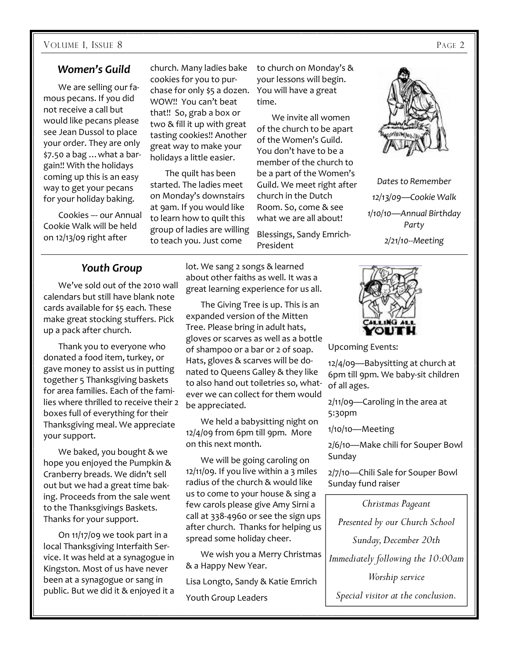#### VOLUME 1, ISSUE 8 PAGE 2

## *Women's Guild*

 We are selling our famous pecans. If you did not receive a call but would like pecans please see Jean Dussol to place your order. They are only \$7.50 a bag …what a bargain!! With the holidays coming up this is an easy way to get your pecans for your holiday baking.

 Cookies --- our Annual Cookie Walk will be held on 12/13/09 right after

church. Many ladies bake cookies for you to purchase for only \$5 a dozen. WOW!! You can't beat that!! So, grab a box or two & fill it up with great tasting cookies!! Another great way to make your holidays a little easier.

 The quilt has been started. The ladies meet on Monday's downstairs at 9am. If you would like to learn how to quilt this group of ladies are willing to teach you. Just come

to church on Monday's & your lessons will begin. You will have a great time.

 We invite all women of the church to be apart of the Women's Guild. You don't have to be a member of the church to be a part of the Women's Guild. We meet right after church in the Dutch Room. So, come & see what we are all about!

Blessings, Sandy Emrich-President



*Dates to Remember 12/13/09—Cookie Walk 1/10/10—Annual Birthday Party 2/21/10--Meeting* 

#### *Youth Group*

 We've sold out of the 2010 wall calendars but still have blank note cards available for \$5 each. These make great stocking stuffers. Pick up a pack after church.

 Thank you to everyone who donated a food item, turkey, or gave money to assist us in putting together 5 Thanksgiving baskets for area families. Each of the families where thrilled to receive their 2 boxes full of everything for their Thanksgiving meal. We appreciate your support.

 We baked, you bought & we hope you enjoyed the Pumpkin & Cranberry breads. We didn't sell out but we had a great time baking. Proceeds from the sale went to the Thanksgivings Baskets. Thanks for your support.

 On 11/17/09 we took part in a local Thanksgiving Interfaith Service. It was held at a synagogue in Kingston. Most of us have never been at a synagogue or sang in public. But we did it & enjoyed it a lot. We sang 2 songs & learned about other faiths as well. It was a great learning experience for us all.

 The Giving Tree is up. This is an expanded version of the Mitten Tree. Please bring in adult hats, gloves or scarves as well as a bottle of shampoo or a bar or 2 of soap. Hats, gloves & scarves will be donated to Queens Galley & they like to also hand out toiletries so, whatever we can collect for them would be appreciated.

 We held a babysitting night on 12/4/09 from 6pm till 9pm. More on this next month.

 We will be going caroling on 12/11/09. If you live within a 3 miles radius of the church & would like us to come to your house & sing a few carols please give Amy Sirni a call at 338-4960 or see the sign ups after church. Thanks for helping us spread some holiday cheer.

 We wish you a Merry Christmas & a Happy New Year.

Lisa Longto, Sandy & Katie Emrich Youth Group Leaders



Upcoming Events:

12/4/09—Babysitting at church at 6pm till 9pm. We baby-sit children of all ages.

2/11/09—Caroling in the area at 5:30pm

1/10/10—Meeting

2/6/10—Make chili for Souper Bowl Sunday

2/7/10—Chili Sale for Souper Bowl Sunday fund raiser

*Christmas Pageant Presented by our Church School Sunday, December 20th Immediately following the 10:00am Worship service* 

*Special visitor at the conclusion.*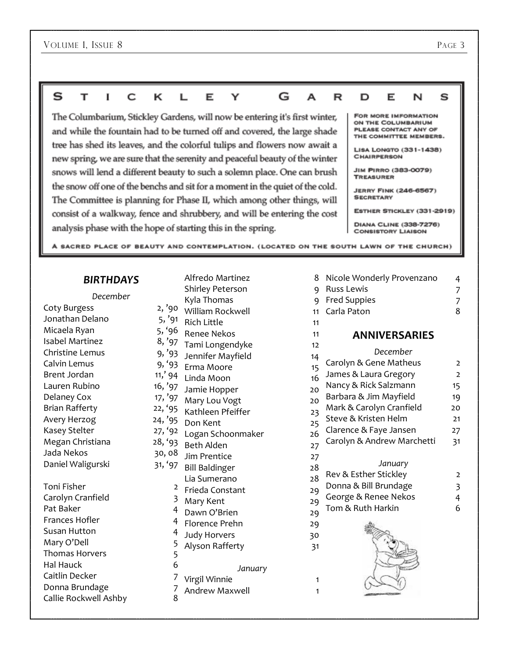#### G s т  $\bf{I}$ C ĸ  $\mathsf{L}$ Е Y A R D Е N s

The Columbarium, Stickley Gardens, will now be entering it's first winter, and while the fountain had to be turned off and covered, the large shade tree has shed its leaves, and the colorful tulips and flowers now await a new spring, we are sure that the serenity and peaceful beauty of the winter snows will lend a different beauty to such a solemn place. One can brush the snow off one of the benchs and sit for a moment in the quiet of the cold. The Committee is planning for Phase II, which among other things, will consist of a walkway, fence and shrubbery, and will be entering the cost analysis phase with the hope of starting this in the spring.

#### FOR MORE IMFORMATION ON THE COLUMBARIUM PLEASE CONTACT ANY OF THE COMMITTEE MEMBERS.

LISA LONGTO (331-1438) **CHAIRPERSON** 

**JIM PIRRO (383-0079) TREASURER** 

**JERRY FINK (246-6567) SECRETARY** 

ESTHER STICKLEY (331-2919)

DIANA CLINE (338-7276) **CONSISTORY LIAISON** 

A SACRED PLACE OF BEAUTY AND CONTEMPLATION. (LOCATED ON THE SOUTH LAWN OF THE CHURCH)

## *BIRTHDAYS*

| December               |                |  |  |
|------------------------|----------------|--|--|
| Coty Burgess           | 2, '90         |  |  |
| Jonathan Delano        | 5, '91         |  |  |
| Micaela Ryan           | 5, '96         |  |  |
| <b>Isabel Martinez</b> | 8, '97         |  |  |
| Christine Lemus        | 9, '93         |  |  |
| Calvin Lemus           | 9, '93         |  |  |
| <b>Brent Jordan</b>    | 11,'94         |  |  |
| Lauren Rubino          | 16, '97        |  |  |
| Delaney Cox            | 17, '97        |  |  |
| <b>Brian Rafferty</b>  | 22, '95        |  |  |
| Avery Herzog           | 24, '95        |  |  |
| <b>Kasey Stelter</b>   | 27, '92        |  |  |
| Megan Christiana       | 28, '93        |  |  |
| Jada Nekos             | 30,08          |  |  |
| Daniel Waligurski      | 31, '97        |  |  |
| <b>Toni Fisher</b>     | 2              |  |  |
| Carolyn Cranfield      | 3              |  |  |
| Pat Baker              | 4              |  |  |
| <b>Frances Hofler</b>  | 4              |  |  |
| <b>Susan Hutton</b>    | 4              |  |  |
| Mary O'Dell            | 5              |  |  |
| <b>Thomas Horvers</b>  | 5              |  |  |
| Hal Hauck              | 6              |  |  |
| Caitlin Decker         | 7              |  |  |
| Donna Brundage         | $\overline{z}$ |  |  |
| Callie Rockwell Ashby  | 8              |  |  |

|                         | Alfredo Martinez                       | 8  |
|-------------------------|----------------------------------------|----|
|                         | <b>Shirley Peterson</b>                | 9  |
|                         | Kyla Thomas                            | 9  |
| '90                     | William Rockwell                       | 11 |
| , '91                   | <b>Rich Little</b>                     | 11 |
| '96                     | <b>Renee Nekos</b>                     | 11 |
| '97                     | Tami Longendyke                        | 12 |
| '93                     | Jennifer Mayfield                      | 14 |
| 93<br>' 94              | Erma Moore                             | 15 |
|                         | Linda Moon                             | 16 |
| '97<br>'97              | Jamie Hopper                           | 20 |
| '95                     | Mary Lou Vogt                          | 20 |
| '95                     | Kathleen Pfeiffer                      | 23 |
| 92                      | Don Kent                               | 25 |
| 93                      | Logan Schoonmaker                      | 26 |
| , 08                    | <b>Beth Alden</b>                      | 27 |
| '97                     | Jim Prentice                           | 27 |
|                         | <b>Bill Baldinger</b>                  | 28 |
| $\overline{\mathbf{c}}$ | Lia Sumerano                           | 28 |
| $\overline{\mathbf{3}}$ | Frieda Constant                        | 29 |
| 4                       | Mary Kent                              | 29 |
| $\overline{4}$          | Dawn O'Brien                           | 29 |
| 4                       | Florence Prehn                         | 29 |
| 5                       | <b>Judy Horvers</b>                    | 30 |
| 5                       | Alyson Rafferty                        | 31 |
| 6                       |                                        |    |
| 7                       | January                                |    |
| 7                       | Virgil Winnie<br><b>Andrew Maxwell</b> | 1  |
|                         |                                        | 1  |

| 8              | Nicole Wonderly Provenzano | 4                                     |
|----------------|----------------------------|---------------------------------------|
| 9              | <b>Russ Lewis</b>          | 7                                     |
| 9              | <b>Fred Suppies</b>        |                                       |
| 11             | Carla Paton                | $\begin{array}{c} 7 \\ 8 \end{array}$ |
| 11             |                            |                                       |
| 11             | <b>ANNIVERSARIES</b>       |                                       |
| 12             | December                   |                                       |
| 14             |                            |                                       |
| 15             | Carolyn & Gene Matheus     | 2                                     |
| 16             | James & Laura Gregory      | $\overline{2}$                        |
| 20             | Nancy & Rick Salzmann      | 15                                    |
| 20             | Barbara & Jim Mayfield     | 19                                    |
| 23             | Mark & Carolyn Cranfield   | 20                                    |
| $\frac{25}{5}$ | Steve & Kristen Helm       | 21                                    |
| 26             | Clarence & Faye Jansen     | 27                                    |
| $^{27}$        | Carolyn & Andrew Marchetti | 31                                    |
| $^{27}$        |                            |                                       |
| 28             | January                    |                                       |
| 28             | Rev & Esther Stickley      | $\overline{2}$                        |
|                | Donna & Bill Brundage      | 3                                     |
| 29             | George & Renee Nekos       | 4                                     |
| 29             | Tom & Ruth Harkin          | 6                                     |
| و،             |                            |                                       |
| 29             |                            |                                       |
| òξ             |                            |                                       |
| 31             |                            |                                       |
|                |                            |                                       |
|                |                            |                                       |
| 1              |                            |                                       |
| 1              |                            |                                       |
|                |                            |                                       |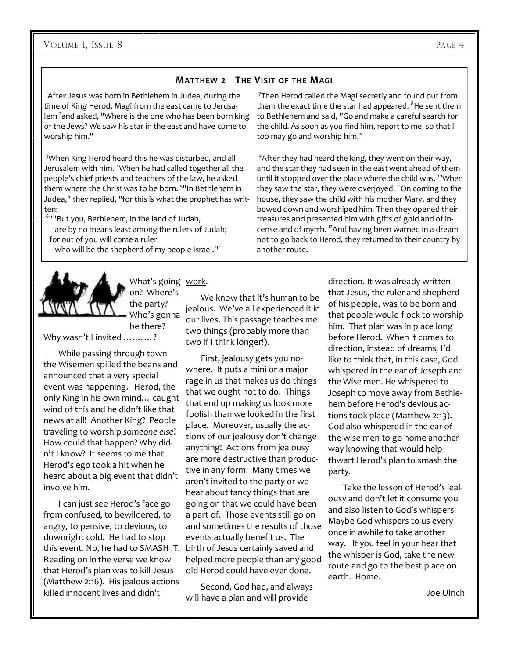#### **MATTHEW 2 THE VISIT OF THE MAGI**

<sup>1</sup>After Jesus was born in Bethlehem in Judea, during the time of King Herod, Magi from the east came to Jerusalem <sup>2</sup>and asked, "Where is the one who has been born king of the Jews? We saw his star in the east and have come to worship him."

<sup>3</sup>When King Herod heard this he was disturbed, and all Jerusalem with him. <sup>4</sup>When he had called together all the people's chief priests and teachers of the law, he asked them where the Christ was to be born. <sup>51</sup>In Bethlehem in Judea," they replied, "for this is what the prophet has written:

6 " 'But you, Bethlehem, in the land of Judah, are by no means least among the rulers of Judah; for out of you will come a ruler who will be the shepherd of my people Israel.'"



What's going work. on? Where's

the party? Who's gonna be there?

Why wasn't I invited ..........?

 While passing through town the Wisemen spilled the beans and announced that a very special event was happening. Herod, the only King in his own mind... caught wind of this and he didn't like that news at all! Another King? People traveling to worship *someone else*? How could that happen? Why didn't I know? It seems to me that Herod's ego took a hit when he heard about a big event that didn't involve him.

 I can just see Herod's face go from confused, to bewildered, to angry, to pensive, to devious, to downright cold. He had to stop this event. No, he had to SMASH IT. Reading on in the verse we know that Herod's plan was to kill Jesus (Matthew 2:16). His jealous actions killed innocent lives and didn't

#### We know that it's human to be jealous. We've all experienced it in our lives. This passage teaches me two things (probably more than two if I think longer!).

 First, jealousy gets you nowhere. It puts a mini or a major rage in us that makes us do things that we ought not to do. Things that end up making us look more foolish than we looked in the first place. Moreover, usually the actions of our jealousy don't change anything! Actions from jealousy are more destructive than productive in any form. Many times we aren't invited to the party or we hear about fancy things that are going on that we could have been a part of. Those events still go on and sometimes the results of those events actually benefit us. The birth of Jesus certainly saved and helped more people than any good old Herod could have ever done.

 Second, God had, and always will have a plan and will provide

7 Then Herod called the Magi secretly and found out from them the exact time the star had appeared.  $8$ He sent them to Bethlehem and said, "Go and make a careful search for the child. As soon as you find him, report to me, so that I too may go and worship him."

 $9$ After they had heard the king, they went on their way, and the star they had seen in the eastwent ahead of them until it stopped over the place where the child was. <sup>10</sup>When they saw the star, they were overjoyed. <sup>11</sup>On coming to the house, they saw the child with his mother Mary, and they bowed down and worshiped him. Then they opened their treasures and presented him with gifts of gold and of incense and of myrrh. <sup>12</sup>And having been warned in a dream not to go back to Herod, they returned to their country by another route.

> direction. It was already written that Jesus, the ruler and shepherd of his people, was to be born and that people would flock to worship him. That plan was in place long before Herod. When it comes to direction, instead of dreams, I'd like to think that, in this case, God whispered in the ear of Joseph and the Wise men. He whispered to Joseph to move away from Bethlehem before Herod's devious actions took place (Matthew 2:13). God also whispered in the ear of the wise men to go home another way knowing that would help thwart Herod's plan to smash the party.

> Take the lesson of Herod's jealousy and don't let it consume you and also listen to God's whispers. Maybe God whispers to us every once in awhile to take another way. If you feel in your hear that the whisper is God, take the new route and go to the best place on earth. Home.

> > Joe Ulrich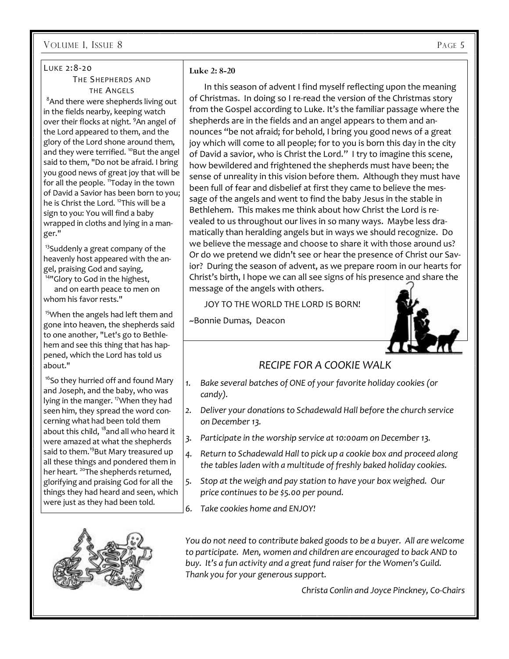#### VOLUME 1, ISSUE 8 PAGE 5

## LUKE 2:8-20

#### THE SHEPHERDS AND THE ANGELS

<sup>8</sup>And there were shepherds living out in the fields nearby, keeping watch over their flocks at night. <sup>9</sup>An angel of the Lord appeared to them, and the glory of the Lord shone around them, and they were terrified. <sup>10</sup>But the angel said to them, "Do not be afraid. I bring you good news of great joy that will be for all the people. <sup>11</sup>Today in the town of David a Savior has been born to you; he is Christ the Lord. <sup>12</sup>This will be a sign to you: You will find a baby wrapped in cloths and lying in a manger."

<sup>13</sup>Suddenly a great company of the heavenly host appeared with the angel, praising God and saying,

<sup>14"</sup>Glory to God in the highest,

 and on earth peace to men on whom his favor rests."

<sup>15</sup>When the angels had left them and gone into heaven, the shepherds said to one another, "Let's go to Bethlehem and see this thing that has happened, which the Lord has told us about."

<sup>16</sup>So they hurried off and found Mary and Joseph, and the baby, who was lying in the manger.<sup>17</sup>When they had seen him, they spread the word concerning what had been told them about this child, <sup>18</sup>and all who heard it were amazed at what the shepherds said to them.<sup>19</sup>But Mary treasured up all these things and pondered them in her heart. <sup>20</sup>The shepherds returned, glorifying and praising God for all the things they had heard and seen, which were just as they had been told.



#### **Luke 2: 8-20**

In this season of advent I find myself reflecting upon the meaning of Christmas. In doing so I re-read the version of the Christmas story from the Gospel according to Luke. It's the familiar passage where the shepherds are in the fields and an angel appears to them and announces "be not afraid; for behold, I bring you good news of a great joy which will come to all people; for to you is born this day in the city of David a savior, who is Christ the Lord." I try to imagine this scene, how bewildered and frightened the shepherds must have been; the sense of unreality in this vision before them. Although they must have been full of fear and disbelief at first they came to believe the message of the angels and went to find the baby Jesus in the stable in Bethlehem. This makes me think about how Christ the Lord is revealed to us throughout our lives in so many ways. Maybe less dramatically than heralding angels but in ways we should recognize. Do we believe the message and choose to share it with those around us? Or do we pretend we didn't see or hear the presence of Christ our Savior? During the season of advent, as we prepare room in our hearts for Christ's birth, I hope we can all see signs of his presence and share the message of the angels with others.

JOY TO THE WORLD THE LORD IS BORN!

~Bonnie Dumas, Deacon



## *RECIPE FOR A COOKIE WALK*

- *1. Bake several batches of ONE of your favorite holiday cookies (or candy).*
- *2. Deliver your donations to Schadewald Hall before the church service on December 13.*
- *3. Participate in the worship service at 10:00am on December 13.*
- *4. Return to Schadewald Hall to pick up a cookie box and proceed along the tables laden with a multitude of freshly baked holiday cookies.*
- *5. Stop at the weigh and pay station to have your box weighed. Our price continues to be \$5.00 per pound.*
- *6. Take cookies home and ENJOY!*

*You do not need to contribute baked goods to be a buyer. All are welcome to participate. Men, women and children are encouraged to back AND to buy. It's a fun activity and a great fund raiser for the Women's Guild. Thank you for your generous support.* 

*Christa Conlin and Joyce Pinckney, Co-Chairs*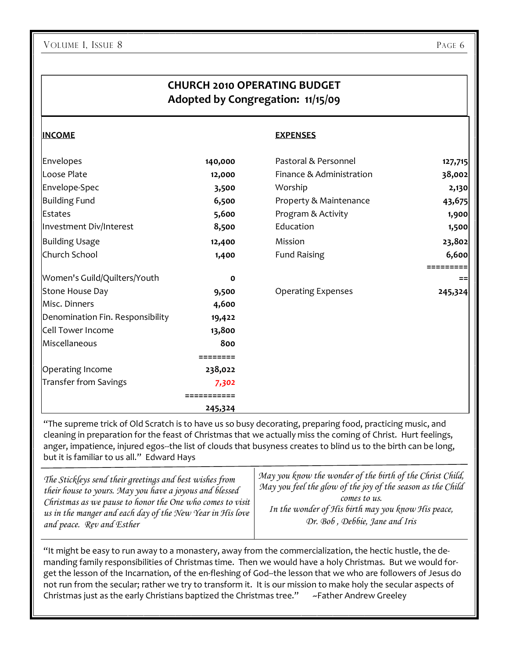## **CHURCH 2010 OPERATING BUDGET Adopted by Congregation: 11/15/09**

#### **INCOME EXPENSES**

| Envelopes                        | 140,000 | Pastoral & Personnel      | 127,715 |
|----------------------------------|---------|---------------------------|---------|
| Loose Plate                      | 12,000  | Finance & Administration  | 38,002  |
| Envelope-Spec                    | 3,500   | Worship                   | 2,130   |
| <b>Building Fund</b>             | 6,500   | Property & Maintenance    | 43,675  |
| <b>Estates</b>                   | 5,600   | Program & Activity        | 1,900   |
| Investment Div/Interest          | 8,500   | Education                 | 1,500   |
| <b>Building Usage</b>            | 12,400  | Mission                   | 23,802  |
| Church School                    | 1,400   | <b>Fund Raising</b>       | 6,600   |
|                                  |         |                           |         |
| Women's Guild/Quilters/Youth     | O       |                           | $==$    |
| Stone House Day                  | 9,500   | <b>Operating Expenses</b> | 245,324 |
| Misc. Dinners                    | 4,600   |                           |         |
| Denomination Fin. Responsibility | 19,422  |                           |         |
| Cell Tower Income                | 13,800  |                           |         |
| Miscellaneous                    | 800     |                           |         |
|                                  |         |                           |         |
| Operating Income                 | 238,022 |                           |         |
| Transfer from Savings            | 7,302   |                           |         |
|                                  |         |                           |         |
|                                  | 245,324 |                           |         |

"The supreme trick of Old Scratch is to have us so busy decorating, preparing food, practicing music, and cleaning in preparation for the feast of Christmas that we actually miss the coming of Christ. Hurt feelings, anger, impatience, injured egos--the list of clouds that busyness creates to blind us to the birth can be long, but it is familiar to us all." Edward Hays

| The Stickleys send their greetings and best wishes from   | May you know the wonder of the birth of the Christ Child,   |
|-----------------------------------------------------------|-------------------------------------------------------------|
| their house to yours. May you have a joyous and blessed   | May you feel the glow of the joy of the season as the Child |
| Christmas as we pause to honor the One who comes to visit | comes to us.                                                |
| us in the manger and each day of the New Year in His love | In the wonder of His birth may you know His peace,          |
| and peace. Rev and Esther                                 | Dr. Bob, Debbie, Jane and Iris                              |

"It might be easy to run away to a monastery, away from the commercialization, the hectic hustle, the demanding family responsibilities of Christmas time. Then we would have a holy Christmas. But we would forget the lesson of the Incarnation, of the en-fleshing of God--the lesson that we who are followers of Jesus do not run from the secular; rather we try to transform it. It is our mission to make holy the secular aspects of Christmas just as the early Christians baptized the Christmas tree." ~Father Andrew Greeley